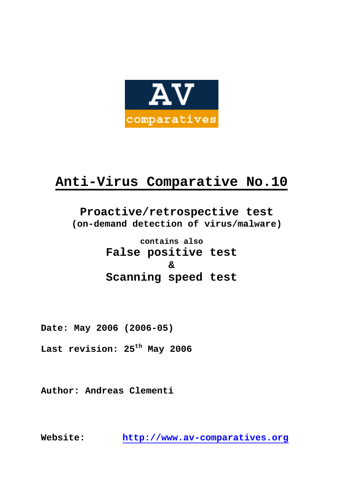

# **Anti-Virus Comparative No.10**

# **Proactive/retrospective test (on-demand detection of virus/malware)**

**contains also False positive test & Scanning speed test** 

**Date: May 2006 (2006-05)** 

**Last revision: 25th May 2006** 

**Author: Andreas Clementi** 

**Website: http://www.av-comparatives.org**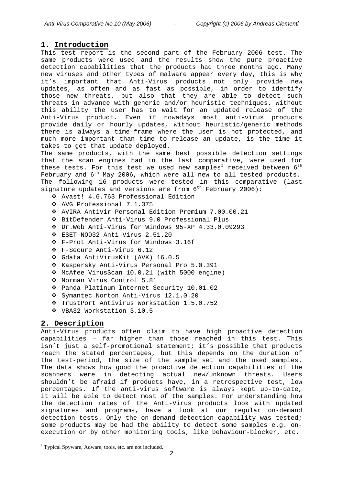# **1. Introduction**

This test report is the second part of the February 2006 test. The same products were used and the results show the pure proactive detection capabilities that the products had three months ago. Many new viruses and other types of malware appear every day, this is why it's important that Anti-Virus products not only provide new updates, as often and as fast as possible, in order to identify those new threats, but also that they are able to detect such threats in advance with generic and/or heuristic techniques. Without this ability the user has to wait for an updated release of the Anti-Virus product. Even if nowadays most anti-virus products provide daily or hourly updates, without heuristic/generic methods there is always a time-frame where the user is not protected, and much more important than time to release an update, is the time it takes to get that update deployed.

The same products, with the same best possible detection settings that the scan engines had in the last comparative, were used for these tests. For this test we used new samples $^1$  received between  $6^{\rm th}$ February and  $6^{th}$  May 2006, which were all new to all tested products. The following 16 products were tested in this comparative (last signature updates and versions are from  $6^{th}$  February 2006):

- Avast! 4.6.763 Professional Edition
- AVG Professional 7.1.375
- AVIRA AntiVir Personal Edition Premium 7.00.00.21
- BitDefender Anti-Virus 9.0 Professional Plus
- Dr.Web Anti-Virus for Windows 95-XP 4.33.0.09293
- ESET NOD32 Anti-Virus 2.51.20
- F-Prot Anti-Virus for Windows 3.16f
- F-Secure Anti-Virus 6.12
- Gdata AntiVirusKit (AVK) 16.0.5
- \* Kaspersky Anti-Virus Personal Pro 5.0.391
- McAfee VirusScan 10.0.21 (with 5000 engine)
- \* Norman Virus Control 5.81
- Panda Platinum Internet Security 10.01.02
- Symantec Norton Anti-Virus 12.1.0.20
- TrustPort Antivirus Workstation 1.5.0.752
- VBA32 Workstation 3.10.5

# **2. Description**

 $\overline{a}$ 

Anti-Virus products often claim to have high proactive detection capabilities – far higher than those reached in this test. This isn't just a self-promotional statement; it's possible that products reach the stated percentages, but this depends on the duration of the test-period, the size of the sample set and the used samples. The data shows how good the proactive detection capabilities of the scanners were in detecting actual new/unknown threats. Users shouldn't be afraid if products have, in a retrospective test, low percentages. If the anti-virus software is always kept up-to-date, it will be able to detect most of the samples. For understanding how the detection rates of the Anti-Virus products look with updated signatures and programs, have a look at our regular on-demand detection tests. Only the on-demand detection capability was tested; some products may be had the ability to detect some samples e.g. onexecution or by other monitoring tools, like behaviour-blocker, etc.

<sup>&</sup>lt;sup>1</sup> Typical Spyware, Adware, tools, etc. are not included.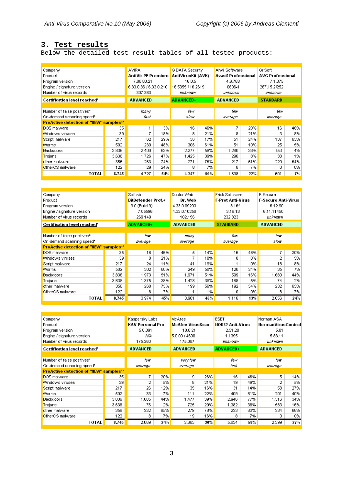# **3. Test results**

Below the detailed test result tables of all tested products:

| Company                                       |       | <b>AVIRA</b>           |     | G DATA Security    |     | Alwil Software      |     | GriSoft                 |     |
|-----------------------------------------------|-------|------------------------|-----|--------------------|-----|---------------------|-----|-------------------------|-----|
| Product                                       |       | AntiVir PE Premium     |     | AntiVirusKit (AVK) |     | Avast! Professional |     | <b>AVG Professional</b> |     |
| Program version                               |       | 7.00.00.21             |     | 16.0.5             |     | 4.6.763             |     | 7.1.375                 |     |
| Engine / signature version                    |       | 6.33.0.36 / 6.33.0.210 |     | 16.5355 / 16.2619  |     | 0606-1              |     | 267.15.2/252            |     |
| Number of virus records                       |       | 307.383                |     | unknown            |     | unknown             |     | unknown                 |     |
| Certification level reached*                  |       | <b>ADVANCED</b>        |     | <b>ADVANCED+</b>   |     | <b>ADVANCED</b>     |     | <b>STANDARD</b>         |     |
|                                               |       |                        |     |                    |     |                     |     |                         |     |
| Number of false positives*                    |       | many                   |     | few                |     | few                 |     | few                     |     |
| On-demand scanning speed*                     |       | fast                   |     | siow               |     | average             |     | average                 |     |
| <b>ProActive detection of "NEW" samples**</b> |       |                        |     |                    |     |                     |     |                         |     |
| DOS malware                                   | 35    |                        | 3%  | 16                 | 46% | 7.                  | 20% | 16                      | 46% |
| Windows viruses                               | 39    | 7                      | 18% | 8                  | 21% | 8                   | 21% | 3                       | 8%  |
| Script malware                                | 217   | 62                     | 29% | 36                 | 17% | 51                  | 24% | 137                     | 63% |
| Worms                                         | 502   | 239                    | 48% | 306                | 61% | 51                  | 10% | 25                      | 5%  |
| <b>Backdoors</b>                              | 3.836 | 2.400                  | 63% | 2.277              | 59% | 1.260               | 33% | 153                     | 4%  |
| Trojans                                       | 3.638 | 1.726                  | 47% | 1.425              | 39% | 296                 | 8%  | 38                      | 1%  |
| other malware                                 | 356   | 263                    | 74% | 271                | 76% | 217                 | 61% | 229                     | 64% |
| OtherOS malware                               | 122   | 29                     | 24% | 8                  | 7%  | 8                   | 7%  | 0                       | 0%  |
| TOTAL                                         | 8.745 | 4.727                  | 54% | 4.347              | 50% | 1.898               | 22% | 601                     | 7%  |

| Company                                       |       | Softwin          |                           | Doctor Web      |         | <b>Frisk Software</b> |                          | F-Secure                   |     |
|-----------------------------------------------|-------|------------------|---------------------------|-----------------|---------|-----------------------|--------------------------|----------------------------|-----|
| Product                                       |       |                  | <b>BitDefender Prof.+</b> |                 | Dr. Web |                       | <b>F-Prot Anti-Virus</b> | <b>F-Secure Anti-Virus</b> |     |
| Program version                               |       | 9.0 (Build 9)    |                           | 4.33.0.09293    |         | 3.16f                 |                          | 6.12.90                    |     |
| Engine / signature version                    |       | 7.05596          |                           | 4.33.0.10250    |         | 3.16.13               |                          | 6.11.11450                 |     |
| Number of virus records                       |       | 269.149          |                           | 102.156         |         | 232.823               |                          | unknown                    |     |
| Certification level reached*                  |       | <b>ADVANCED+</b> |                           | <b>ADVANCED</b> |         | <b>STANDARD</b>       |                          | <b>ADVANCED</b>            |     |
|                                               |       |                  |                           |                 |         |                       |                          |                            |     |
| Number of false positives*                    |       | few              |                           | many            |         | few                   |                          | few                        |     |
| On-demand scanning speed*                     |       | average          |                           | average         |         | average               |                          | slow                       |     |
| <b>ProActive detection of "NEW" samples**</b> |       |                  |                           |                 |         |                       |                          |                            |     |
| DOS malware                                   | 35    | 16               | 46%                       | 5               | 14%     | 16                    | 46%                      | 7                          | 20% |
| Windows viruses                               | 39    | 8                | 21%                       | 7               | 18%     | 0                     | 0%                       | 2                          | 5%  |
| Script malware                                | 217   | 24               | 11%                       | 41              | 19%     |                       | 0%                       | 18                         | 8%  |
| <b>Worms</b>                                  | 502   | 302              | 60%                       | 249             | 50%     | 120                   | 24%                      | 35                         | 7%  |
| <b>Backdoors</b>                              | 3.836 | 1.973            | 51%                       | 1.971           | 51%     | 599                   | 16%                      | 1.680                      | 44% |
| Trojans                                       | 3.638 | 1.375            | 38%                       | 1.428           | 39%     | 188                   | 5%                       | 74                         | 2%  |
| other malware                                 | 356   | 268              | 75%                       | 199             | 56%     | 192                   | 54%                      | 232                        | 65% |
| OtherOS malware                               | 122   | 8                | 7%                        | 1               | 1%      | 0                     | 0%                       | 8                          | 7%  |
| TOTAL                                         | 8.745 | 3.974            | 45%                       | 3.901           | 45%     | 1.116                 | 13%                      | 2.056                      | 24% |

| Company                                       |       | Kaspersky Labs          |     | <b>McAfee</b>    |     | <b>ESET</b>             |     | Norman ASA         |     |
|-----------------------------------------------|-------|-------------------------|-----|------------------|-----|-------------------------|-----|--------------------|-----|
| Product                                       |       | <b>KAV Personal Pro</b> |     | McAfee VirusScan |     | <b>NOD32 Anti-Virus</b> |     | NormanVirusControl |     |
| Program version                               |       | 5.0.391                 |     | 10.0.21          |     | 2.51.20                 |     | 5.81               |     |
| Engine / signature version                    |       | NΑ                      |     | 5.0.00 / 4690    |     | 1.1395                  |     | 5.83.11            |     |
| Number of virus records                       |       | 175.260                 |     | 175.087          |     | unknown                 |     | unknown            |     |
| Certification level reached*                  |       | <b>ADVANCED</b>         |     | <b>ADVANCED</b>  |     | <b>ADVANCED+</b>        |     | <b>ADVANCED</b>    |     |
|                                               |       |                         |     |                  |     |                         |     |                    |     |
| Number of false positives*                    |       | few                     |     | very few         |     | few                     |     | few                |     |
| On-demand scanning speed*                     |       | average                 |     | average          |     | fast                    |     | average            |     |
| <b>ProActive detection of "NEW" samples**</b> |       |                         |     |                  |     |                         |     |                    |     |
| DOS malware                                   | 35    | 7                       | 20% | 9                | 26% | 16                      | 46% | 5.                 | 14% |
| Windows viruses                               | 39    | 2                       | 5%  | 8.               | 21% | 19                      | 49% | 2                  | 5%  |
| Script malware                                | 217   | 26                      | 12% | 35               | 16% | 31                      | 14% | 58                 | 27% |
| Worms                                         | 502   | 33                      | 7%  | 111              | 22% | 409                     | 81% | 201                | 40% |
| <b>Backdoors</b>                              | 3.836 | 1.685                   | 44% | 1.477            | 39% | 2.946                   | 77% | 1.316              | 34% |
| Trojans                                       | 3.638 | 76                      | 2%  |                  | 20% | 1.382                   | 38% | 583                | 16% |
| other malware                                 | 356   | 232                     | 65% | 279.             | 78% | 223                     | 63% | 234                | 66% |
| OtherOS malware                               | 122   | 8                       | 7%  | 19               | 16% | 8.                      | 7%  | n                  | 0%  |
| TOTAL                                         | 8.745 | 2.069                   | 24% | 2.663            | 30% | 5.034                   | 58% | 2.399              | 27% |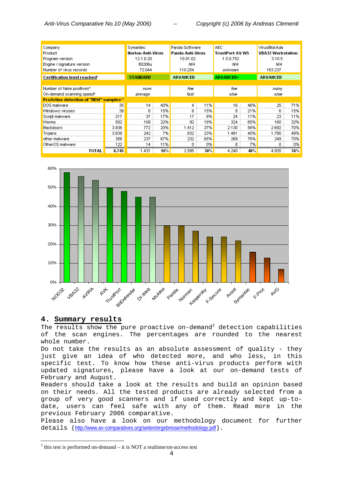| Panda Software                                |       |                   |     |                  |     |                        |     |                          |     |
|-----------------------------------------------|-------|-------------------|-----|------------------|-----|------------------------|-----|--------------------------|-----|
| Company                                       |       | Symantec          |     |                  |     | AEC.                   |     | VirusBlokAda             |     |
| Product                                       |       | Norton Anti-Virus |     | Panda Anti-Virus |     | <b>TrustPort AV WS</b> |     | <b>VBA32 Workstation</b> |     |
| Program version                               |       | 12.1.0.20         |     | 10.01.02         |     | 1.5.0.752              |     | 3.10.5                   |     |
| Engine / signature version                    |       | 80206u            |     | ΝA               |     | ΝA                     |     | ΝA                       |     |
| Number of virus records                       |       | 72.044            |     | 110.254          |     | unknown                |     | 163.237                  |     |
| <b>Certification level reached*</b>           |       | <b>STANDARD</b>   |     | <b>ADVANCED</b>  |     | <b>ADVANCED+</b>       |     | <b>ADVANCED</b>          |     |
|                                               |       |                   |     |                  |     |                        |     |                          |     |
| Number of false positives*                    |       | none              |     | few              |     | few                    |     | many                     |     |
| On-demand scanning speed*                     |       | average           |     | fast             |     | slow                   |     | slow                     |     |
| <b>ProActive detection of "NEW" samples**</b> |       |                   |     |                  |     |                        |     |                          |     |
| DOS malware                                   | 35    | 14                | 40% | 4                | 11% | 16                     | 46% | 25                       | 71% |
| Windows viruses                               | 39    | 6.                | 15% | 6                | 15% | 8.                     | 21% | 6.                       | 15% |
| Script malware                                | 217   | 37                | 17% | 17               | 8%  | 24                     | 11% | 23                       | 11% |
| <b>Worms</b>                                  | 502   | 109               | 22% | 92               | 18% | 324                    | 65% | 160                      | 32% |
| <b>Backdoors</b>                              | 3.836 | 772               | 20% | 1.412            | 37% | 2.130                  | 56% | 2.692                    | 70% |
| Trojans                                       | 3.638 | 242               | 7%  | 832              | 23% | 1.461                  | 40% | 1.780                    | 49% |
| other malware                                 | 356   | 237               | 67% | 232              | 65% | 269                    | 76% | 249                      | 70% |
| OtherOS malware                               | 122   | 14                | 11% | 0                | 0%  | 8                      | 7%  | 0.                       | 0%  |
| TOTAL                                         | 8.745 | 1.431             | 16% | 2.595            | 30% | 4.240                  | 48% | 4.935                    | 56% |



# **4. Summary results**

 $\overline{a}$ 

The results show the pure proactive on-demand<sup>2</sup> detection capabilities of the scan engines. The percentages are rounded to the nearest whole number.

Do not take the results as an absolute assessment of quality - they just give an idea of who detected more, and who less, in this specific test. To know how these anti-virus products perform with updated signatures, please have a look at our on-demand tests of February and August.

Readers should take a look at the results and build an opinion based on their needs. All the tested products are already selected from a group of very good scanners and if used correctly and kept up-todate, users can feel safe with any of them. Read more in the previous February 2006 comparative.

Please also have a look on our methodology document for further details (http://www.av-comparatives.org/seiten/ergebnisse/methodology.pdf).

 $2$ <sup>2</sup> this test is performed on-demand – it is NOT a realtime/on-access test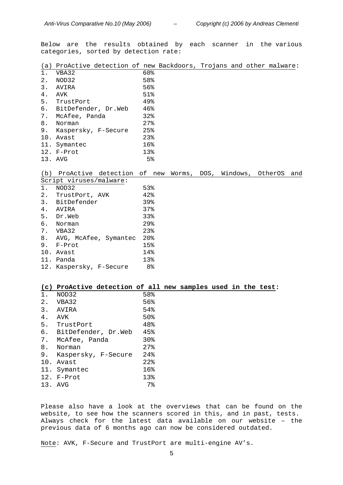Below are the results obtained by each scanner in the various categories, sorted by detection rate:

|  |  |  |  |  | (a) ProActive detection of new Backdoors, Trojans and other malware: |  |  |  |  |  |
|--|--|--|--|--|----------------------------------------------------------------------|--|--|--|--|--|
|--|--|--|--|--|----------------------------------------------------------------------|--|--|--|--|--|

| $1$ . | VBA32                  | 60%    |
|-------|------------------------|--------|
| 2.    | NOD32                  | 58%    |
|       | 3. AVIRA               | 56%    |
| 4.    | AVK                    | 51%    |
| 5.    | TrustPort              | 49%    |
|       | 6. BitDefender, Dr.Web | 46%    |
|       | 7. McAfee, Panda       | 32%    |
|       | 8. Norman              | $27$ % |
|       | 9. Kaspersky, F-Secure | 25%    |
|       | 10. Avast              | 23%    |
|       | 11. Symantec           | 16%    |
|       | 12. F-Prot             | 13%    |
|       | 13. AVG                | $5\%$  |

# (b) ProActive detection of new Worms, DOS, Windows, OtherOS and

|       | Script viruses/malware:  |                   |
|-------|--------------------------|-------------------|
| $1$ . | NOD32                    | 53%               |
|       | 2. TrustPort, AVK        | 42%               |
|       | 3. BitDefender           | 39%               |
| 4.    | AVIRA                    | 37%               |
| 5.    | Dr.Web                   | 33%               |
| б.    | Norman                   | $29$ <sup>2</sup> |
|       | 7. VBA32                 | 23%               |
|       | 8. AVG, McAfee, Symantec | 20%               |
| 9.    | F-Prot                   | 15%               |
|       | 10. Avast                | 14%               |
|       | 11. Panda                | 13%               |
| 12.   | Kaspersky, F-Secure      | 8%                |

#### **(c) ProActive detection of all new samples used in the test:**

| NOD32               | 58%               |
|---------------------|-------------------|
| VBA32               | 56%               |
| AVIRA               | 54%               |
| AVK                 | 50%               |
| TrustPort           | 48%               |
| BitDefender, Dr.Web | 45%               |
| McAfee, Panda       | 30%               |
| Norman              | $27$ %            |
| Kaspersky, F-Secure | $24$ <sup>8</sup> |
| 10. Avast           | $22$ %            |
| 11.<br>Symantec     | 16%               |
| 12. F-Prot          | 13%               |
| AVG                 | 7%                |
|                     |                   |

Please also have a look at the overviews that can be found on the website, to see how the scanners scored in this, and in past, tests. Always check for the latest data available on our website – the previous data of 6 months ago can now be considered outdated.

Note: AVK, F-Secure and TrustPort are multi-engine AV's.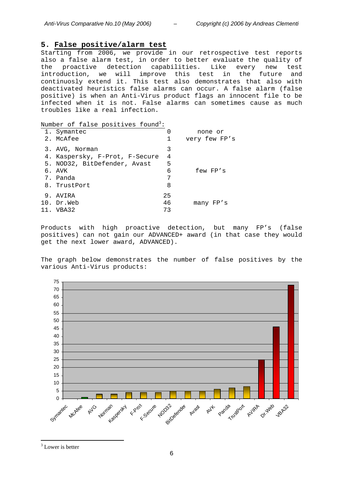# **5. False positive/alarm test**

Starting from 2006, we provide in our retrospective test reports also a false alarm test, in order to better evaluate the quality of the proactive detection capabilities. Like every new test introduction, we will improve this test in the future and continuosly extend it. This test also demonstrates that also with deactivated heuristics false alarms can occur. A false alarm (false positive) is when an Anti-Virus product flags an innocent file to be infected when it is not. False alarms can sometimes cause as much troubles like a real infection.

Number of false positives found<sup>3</sup>:

| 1. Symantec                    | 0  | none or       |
|--------------------------------|----|---------------|
| 2. McAfee                      | 1  | very few FP's |
| 3. AVG, Norman                 | 3  |               |
| 4. Kaspersky, F-Prot, F-Secure | 4  |               |
| 5. NOD32, BitDefender, Avast   | 5  |               |
| 6. AVK                         | 6  | few FP's      |
| 7. Panda                       | 7  |               |
| 8. TrustPort                   | 8  |               |
| 9. AVIRA                       | 25 |               |
| 10. Dr.Web                     | 46 | many FP's     |
| 11. VBA32                      | 73 |               |
|                                |    |               |

Products with high proactive detection, but many FP's (false positives) can not gain our ADVANCED+ award (in that case they would get the next lower award, ADVANCED).

The graph below demonstrates the number of false positives by the various Anti-Virus products:



 $\overline{a}$ <sup>3</sup> Lower is better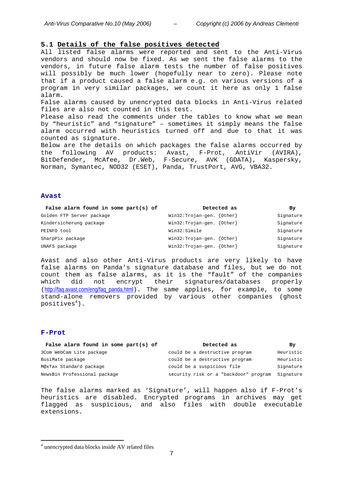#### **5.1 Details of the false positives detected**

All listed false alarms were reported and sent to the Anti-Virus vendors and should now be fixed. As we sent the false alarms to the vendors, in future false alarm tests the number of false positives will possibly be much lower (hopefully near to zero). Please note that if a product caused a false alarm e.g. on various versions of a program in very similar packages, we count it here as only 1 false alarm.

False alarms caused by unencrypted data blocks in Anti-Virus related files are also not counted in this test.

Please also read the comments under the tables to know what we mean by "heuristic" and "signature" – sometimes it simply means the false alarm occurred with heuristics turned off and due to that it was counted as signature.

Below are the details on which packages the false alarms occurred by the following AV products: Avast, F-Prot, AntiVir (AVIRA), BitDefender, McAfee, Dr.Web, F-Secure, AVK (GDATA), Kaspersky, Norman, Symantec, NOD32 (ESET), Panda, TrustPort, AVG, VBA32.

#### **Avast**

| False alarm found in some part(s) of | Detected as                 | By        |
|--------------------------------------|-----------------------------|-----------|
| Golden FTP Server package            | $Win32:Trojan-qen. {Other}$ | Signature |
| Kindersicherung package              | $Win32:Trojan-qen. {Other}$ | Signature |
| PEINFO tool                          | Win32:Simile                | Signature |
| SharpPix package                     | $Win32:Trojan-qen. {Other}$ | Signature |
| UNAFS package                        | $Win32:Trojan-qen. {Other}$ | Signature |

Avast and also other Anti-Virus products are very likely to have false alarms on Panda's signature database and files, but we do not count them as false alarms, as it is the "fault" of the companies which did not encrypt their signatures/databases properly (http://faq.avast.com/eng/faq\_panda.html). The same applies, for example, to some stand-alone removers provided by various other companies (ghost positives $^4)$  .

#### **F-Prot**

 $\overline{a}$ 

| False alarm found in some part(s) of | Detected as                                     | Bv        |
|--------------------------------------|-------------------------------------------------|-----------|
| 3Com WebCam Lite package             | could be a destructive program                  | Heuristic |
| BusiMate package                     | could be a destructive program                  | Heuristic |
| M@xTax Standard package              | could be a suspicious file                      | Signature |
| NewsBin Professional package         | security risk or a "backdoor" program Signature |           |

The false alarms marked as 'Signature', will happen also if F-Prot's heuristics are disabled. Encrypted programs in archives may get flagged as suspicious, and also files with double executable extensions.

<sup>4</sup> unencrypted data blocks inside AV related files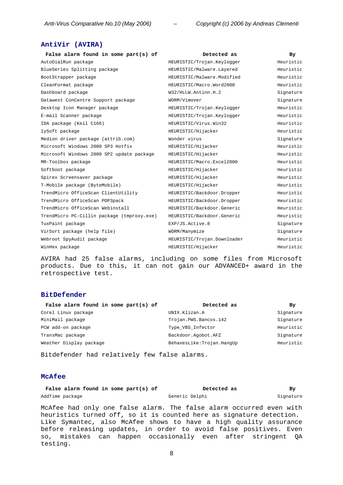# **AntiVir (AVIRA)**

| False alarm found in some part(s) of       | Detected as                 | By.       |
|--------------------------------------------|-----------------------------|-----------|
| AutoDialRun package                        | HEURISTIC/Trojan.Keylogger  | Heuristic |
| BlueSeries Splitting package               | HEURISTIC/Malware.Layered   | Heuristic |
| BootStrapper package                       | HEURISTIC/Malware.Modified  | Heuristic |
| CleanFormat package                        | HEURISTIC/Macro.Word2000    | Heuristic |
| Dashboard package                          | W32/HLLW.Antinn.H.2         | Signature |
| Datawest ConCentre Support package         | WORM/Vimover                | Signature |
| Desktop Icon Manager package               | HEURISTIC/Trojan.Keylogger  | Heuristic |
| E-mail Scanner package                     | HEURISTIC/Trojan.Keylogger  | Heuristic |
| IDA package (Keil C166)                    | HEURISTIC/Virus.Win32       | Heuristic |
| lySoft package                             | HEURISTIC/Hijacker          | Heuristic |
| Medion driver package (attrib.com)         | Wonder virus                | Signature |
| Microsoft Windows 2000 SP3 Hotfix          | HEURISTIC/Hijacker          | Heuristic |
| Microsoft Windows 2000 SP2 update package  | HEURISTIC/Hijacker          | Heuristic |
| MR-Toolbox package                         | HEURISTIC/Macro.Excel2000   | Heuristic |
| Softboot package                           | HEURISTIC/Hijacker          | Heuristic |
| Spirex Screensaver package                 | HEURISTIC/Hijacker          | Heuristic |
| T-Mobile package (ByteMobile)              | HEURISTIC/Hijacker          | Heuristic |
| TrendMicro OfficeScan ClientUtility        | HEURISTIC/Backdoor.Dropper  | Heuristic |
| TrendMicro OfficeScan POP3pack             | HEURISTIC/Backdoor.Dropper  | Heuristic |
| TrendMicro OfficeScan Webinstall           | HEURISTIC/Backdoor.Generic  | Heuristic |
| TrendMicro PC-Cillin package (tmproxy.exe) | HEURISTIC/Backdoor.Generic  | Heuristic |
| TuxPaint package                           | EXP/JS.Active.8             | Signature |
| VirSort package (help file)                | WORM/Manymize               | Signature |
| Webroot SpyAudit package                   | HEURISTIC/Trojan.Downloader | Heuristic |
| WinHex package                             | HEURISTIC/Hijacker          | Heuristic |

AVIRA had 25 false alarms, including on some files from Microsoft products. Due to this, it can not gain our ADVANCED+ award in the retrospective test.

#### **BitDefender**

| False alarm found in some part(s) of | Detected as               | By        |
|--------------------------------------|---------------------------|-----------|
| Corel Linux package                  | UNIX.Klizan.A             | Signature |
| MiniMail package                     | Trojan.PWS.Bancos.142     | Signature |
| PCW add-on package                   | Type_VBS_Infector         | Heuristic |
| TransMac package                     | Backdoor.Aqobot.AFZ       | Signature |
| Weather Display package              | BehavesLike:Trojan.HanqUp | Heuristic |

Bitdefender had relatively few false alarms.

# **McAfee**

| False alarm found in some part(s) of |  | Detected as    | By        |
|--------------------------------------|--|----------------|-----------|
| AddTime package                      |  | Generic Delphi | Signature |

McAfee had only one false alarm. The false alarm occurred even with heuristics turned off, so it is counted here as signature detection. Like Symantec, also McAfee shows to have a high quality assurance before releasing updates, in order to avoid false positives. Even so, mistakes can happen occasionally even after stringent QA testing.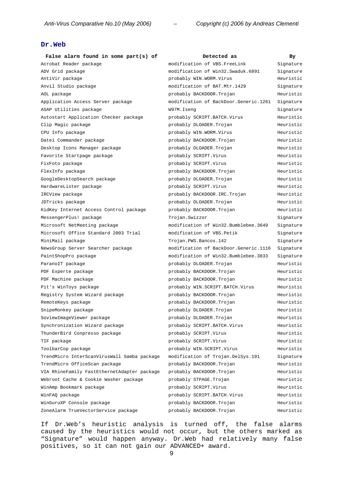# **Dr.Web**

| False alarm found in some part(s) of        | Detected as                           | Bу        |
|---------------------------------------------|---------------------------------------|-----------|
| Acrobat Reader package                      | modification of VBS. FreeLink         | Signature |
| ADV Grid package                            | modification of Win32.Swaduk.6891     | Signature |
| AntiVir package                             | probably WIN.WORM.Virus               | Heuristic |
| Anvil Studio package                        | modification of BAT.Mtr.1429          | Signature |
| AOL package                                 | probably BACKDOOR. Trojan             | Heuristic |
| Application Access Server package           | modification of BackDoor.Generic.1261 | Signature |
| ASAP Utilities package                      | W97M.Iseng                            | Signature |
| Autostart Application Checker package       | probably SCRIPT.BATCH.Virus           | Heuristic |
| Clip Magic package                          | probably DLOADER.Trojan               | Heuristic |
| CPU Info package                            | probably WIN.WORM.Virus               | Heuristic |
| Datei Commander package                     | probably BACKDOOR. Trojan             | Heuristic |
| Desktop Icons Manager package               | probably DLOADER.Trojan               | Heuristic |
| Favorite Startpage package                  | probably SCRIPT.Virus                 | Heuristic |
| FixFoto package                             | probably SCRIPT.Virus                 | Heuristic |
| FlexInfo package                            | probably BACKDOOR. Trojan             | Heuristic |
| GoogleDesktopSearch package                 | probably DLOADER.Trojan               | Heuristic |
| HardwareLister package                      | probably SCRIPT.Virus                 | Heuristic |
| IRCView package                             | probably BACKDOOR.IRC.Trojan          | Heuristic |
| JDTricks package                            | probably DLOADER. Trojan              | Heuristic |
| KidKey Internet Access Control package      | probably BACKDOOR. Trojan             | Heuristic |
| MessengerPlus! package                      | Trojan.Swizzor                        | Signature |
| Microsoft NetMeeting package                | modification of Win32.Bumblebee.3649  | Signature |
| Microsoft Office Standard 2003 Trial        | modification of VBS.Petik             | Signature |
| MiniMail package                            | Trojan.PWS.Bancos.142                 | Signature |
| NewsGroup Server Searcher package           | modification of BackDoor.Generic.1116 | Signature |
| PaintShopPro package                        | modification of Win32.Bumblebee.3833  | Signature |
| ParanoIT package                            | probably DLOADER.Trojan               | Heuristic |
| PDF Experte package                         | probably BACKDOOR. Trojan             | Heuristic |
| PDF Machine package                         | probably BACKDOOR.Trojan              | Heuristic |
| Pit's WinToys package                       | probably WIN.SCRIPT.BATCH.Virus       | Heuristic |
| Registry System Wizard package              | probably BACKDOOR. Trojan             | Heuristic |
| RemoteKeys package                          | probably BACKDOOR. Trojan             | Heuristic |
| SnipeMonkey package                         | probably DLOADER.Trojan               | Heuristic |
| SoviewImageViewer package                   | probably DLOADER. Trojan              | Heuristic |
| Synchronization Wizard package              | probably SCRIPT.BATCH.Virus           | Heuristic |
| ThunderBird Conpresso package               | probably SCRIPT.Virus                 | Heuristic |
| TIF package                                 | probably SCRIPT.Virus                 | Heuristic |
| ToolbarCop package                          | probably WIN.SCRIPT.Virus             | Heuristic |
| TrendMicro InterScanVirusWall Samba package | modification of Trojan. DelSys. 191   | Signature |
| TrendMicro OfficeScan package               | probably BACKDOOR. Trojan             | Heuristic |
| VIA RhineFamily FastEthernetAdapter package | probably BACKDOOR. Trojan             | Heuristic |
| Webroot Cache & Cookie Washer package       | probably STPAGE. Trojan               | Heuristic |
| WinAmp Bookmark package                     | probably SCRIPT.Virus                 | Heuristic |
| WinFAQ package                              | probably SCRIPT.BATCH.Virus           | Heuristic |
| WinGuruXP Console package                   | probably BACKDOOR. Trojan             | Heuristic |
| ZoneAlarm TrueVectorService package         | probably BACKDOOR. Trojan             | Heuristic |

If Dr.Web's heuristic analysis is turned off, the false alarms caused by the heuristics would not occur, but the others marked as "Signature" would happen anyway. Dr.Web had relatively many false positives, so it can not gain our ADVANCED+ award.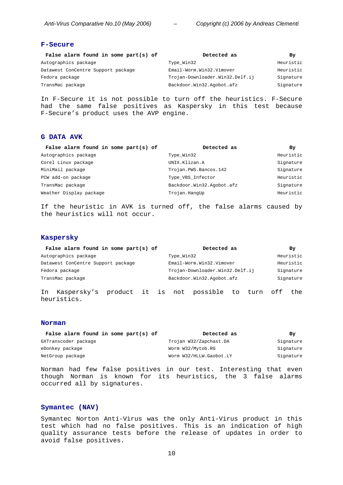# **F-Secure**

| False alarm found in some part(s) of | Detected as                     | Βv        |
|--------------------------------------|---------------------------------|-----------|
| Autographics package                 | Type_Win32                      | Heuristic |
| Datawest ConCentre Support package   | Email-Worm.Win32.Vimover        | Heuristic |
| Fedora package                       | Trojan-Downloader.Win32.Delf.ij | Signature |
| TransMac package                     | Backdoor.Win32.Agobot.afz       | Signature |

In F-Secure it is not possible to turn off the heuristics. F-Secure had the same false positives as Kaspersky in this test because F-Secure's product uses the AVP engine.

# **G DATA AVK**

| False alarm found in some part(s) of | Detected as               | By        |
|--------------------------------------|---------------------------|-----------|
|                                      | Type Win32                | Heuristic |
|                                      | UNIX.Klizan.A             | Signature |
|                                      | Trojan.PWS.Bancos.142     | Signature |
|                                      | Type VBS Infector         | Heuristic |
|                                      | Backdoor.Win32.Aqobot.afz | Signature |
| Weather Display package              | Trojan.HangUp             | Heuristic |
|                                      |                           |           |

If the heuristic in AVK is turned off, the false alarms caused by the heuristics will not occur.

#### **Kaspersky**

| False alarm found in some part(s) of |  |            | Detected as                                |  | By        |
|--------------------------------------|--|------------|--------------------------------------------|--|-----------|
| Autographics package                 |  | Type Win32 |                                            |  | Heuristic |
| Datawest ConCentre Support package   |  |            | Email-Worm.Win32.Vimover                   |  | Heuristic |
| Fedora package                       |  |            | Trojan-Downloader.Win32.Delf.ij            |  | Signature |
| TransMac package                     |  |            | Backdoor.Win32.Agobot.afz                  |  | Signature |
| Kaspersky's<br>In<br>heuristics.     |  |            | product it is not possible to turn off the |  |           |

#### **Norman**

| False alarm found in some part(s) of | Detected as             | By        |
|--------------------------------------|-------------------------|-----------|
| GXTranscoder package                 | Trojan W32/Zapchast.DA  | Signature |
| eDonkey package                      | Worm W32/Mytob.RG       | Signature |
| NetGroup package                     | Worm W32/HLLW.Gaobot.LY | Signature |

Norman had few false positives in our test. Interesting that even though Norman is known for its heuristics, the 3 false alarms occurred all by signatures.

#### **Symantec (NAV)**

Symantec Norton Anti-Virus was the only Anti-Virus product in this test which had no false positives. This is an indication of high quality assurance tests before the release of updates in order to avoid false positives.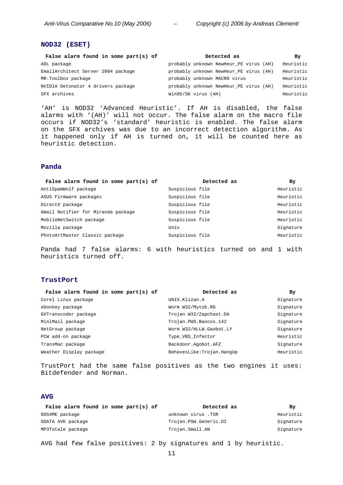#### **NOD32 (ESET)**

| False alarm found in some part(s) of | Detected as                            | By        |
|--------------------------------------|----------------------------------------|-----------|
| AOL package                          | probably unknown NewHeur_PE virus (AH) | Heuristic |
| EmailArchitect Server 2004 package   | probably unknown NewHeur PE virus (AH) | Heuristic |
| MR-Toolbox package                   | probably unknown MACRO virus           | Heuristic |
| NVIDIA Detonator 4 drivers package   | probably unknown NewHeur PE virus (AH) | Heuristic |
| SFX archives                         | Win95/SK virus (AH)                    | Heuristic |

'AH' is NOD32 'Advanced Heuristic'. If AH is disabled, the false alarms with '(AH)' will not occur. The false alarm on the macro file occurs if NOD32's 'standard' heuristic is enabled. The false alarm on the SFX archives was due to an incorrect detection algorithm. As it happened only if AH is turned on, it will be counted here as heuristic detection.

#### **Panda**

| False alarm found in some part(s) of | Detected as     | By        |
|--------------------------------------|-----------------|-----------|
| AntiSpamWolf package                 | Suspicious file | Heuristic |
| ASUS Firmware packages               | Suspicious file | Heuristic |
| DirectX package                      | Suspicious file | Heuristic |
| Gmail Notifier for Miranda package   | Suspicious file | Heuristic |
| MobileNetSwitch package              | Suspicious file | Heuristic |
| Mozilla package                      | Univ            | Signature |
| PhotoArtMaster Classic package       | Suspicious file | Heuristic |

Panda had 7 false alarms: 6 with heuristics turned on and 1 with heuristics turned off.

### **TrustPort**

| False alarm found in some part(s) of | Detected as               | Вy        |
|--------------------------------------|---------------------------|-----------|
| Corel Linux package                  | UNIX.Klizan.A             | Signature |
| eDonkey package                      | Worm W32/Mytob.RG         | Signature |
| GXTranscoder package                 | Trojan W32/Zapchast.DA    | Signature |
| MiniMail package                     | Trojan.PWS.Bancos.142     | Signature |
| NetGroup package                     | Worm W32/HLLW.Gaobot.LY   | Signature |
| PCW add-on package                   | Type_VBS_Infector         | Heuristic |
| TransMac package                     | Backdoor.Aqobot.AFZ       | Signature |
| Weather Display package              | BehavesLike:Trojan.HanqUp | Heuristic |
|                                      |                           |           |

TrustPort had the same false positives as the two engines it uses: Bitdefender and Norman.

# **AVG**

| False alarm found in some $part(s)$ of | Detected as           | By        |
|----------------------------------------|-----------------------|-----------|
| DOS4ME package                         | unknown virus .TSR    | Heuristic |
| GDATA AVK package                      | Trojan.PSW.Generic.OI | Signature |
| MP3Totale package                      | Trojan.Small.AN       | Signature |

AVG had few false positives: 2 by signatures and 1 by heuristic.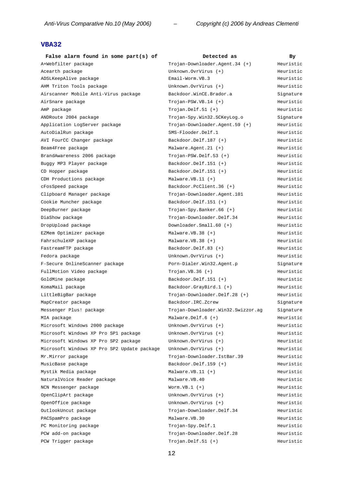# **VBA32**

| False alarm found in some part(s) of        | Detected as                        | Bу        |
|---------------------------------------------|------------------------------------|-----------|
| A+Webfilter package                         | Trojan-Downloader.Agent.34 (+)     | Heuristic |
| Acearth package                             | Unknown.OvrVirus (+)               | Heuristic |
| ADSLKeepAlive package                       | Email-Worm.VB.3                    | Heuristic |
| AHM Triton Tools package                    | Unknown.OvrVirus (+)               | Heuristic |
| Airscanner Mobile Anti-Virus package        | Backdoor.WinCE.Brador.a            | Signature |
| AirSnare package                            | $Trojan-PSW.VB.14 (+)$             | Heuristic |
| AmP package                                 | $Trojan.Delf.J1 (+)$               | Heuristic |
| ANDRoute 2004 package                       | Trojan-Spy.Win32.SCKeyLog.o        | Signature |
| Application LogServer package               | Trojan-Downloader.Agent.59 (+)     | Heuristic |
| AutoDialRun package                         | SMS-Flooder.Delf.1                 | Heuristic |
| AVI FourCC Changer package                  | Backdoor.Delf.187 (+)              | Heuristic |
| Beam4Free package                           | Malware.Agent.21 (+)               | Heuristic |
| BrandAwareness 2006 package                 | $Tropian-PSW.Delf.53 (+)$          | Heuristic |
| Buggy MP3 Player package                    | Backdoor.Delf.151 (+)              | Heuristic |
| CD Hopper package                           | Backdoor.Delf.151 (+)              | Heuristic |
| CDH Productions package                     | Malware. $VB.11$ $(+)$             | Heuristic |
| cFosSpeed package                           | Backdoor.PcClient.36 (+)           | Heuristic |
| Clipboard Manager package                   | Trojan-Downloader.Agent.101        | Heuristic |
| Cookie Muncher package                      | Backdoor.Delf.151 (+)              | Heuristic |
| DeepBurner package                          | Trojan-Spy.Banker.66 (+)           | Heuristic |
| DiaShow package                             | Trojan-Downloader.Delf.34          | Heuristic |
| DropUpload package                          | Downloader.Small.60 (+)            | Heuristic |
| EZMem Optimizer package                     | Malware. $VB.38 (+)$               | Heuristic |
| FahrschuleXP package                        | Malware. $VB.38 (+)$               | Heuristic |
| FastreamFTP package                         | Backdoor.Delf.83 (+)               | Heuristic |
| Fedora package                              | Unknown.OvrVirus (+)               | Heuristic |
| F-Secure OnlineScanner package              | Porn-Dialer.Win32.Agent.p          | Signature |
| FullMotion Video package                    | $Trojan.VB.36 (+)$                 | Heuristic |
| GoldMine package                            | Backdoor.Delf.151 (+)              | Heuristic |
| KomaMail package                            | Backdoor.GrayBird.1 (+)            | Heuristic |
| LittleBigBar package                        | Trojan-Downloader.Delf.28 (+)      | Heuristic |
| MapCreator package                          | Backdoor. IRC. Zcrew               | Signature |
| Messenger Plus! package                     | Trojan-Downloader.Win32.Swizzor.ag | Signature |
| MIA package                                 | Malware. Delf. $6 (+)$             | Heuristic |
| Microsoft Windows 2000 package              | Unknown.OvrVirus (+)               | Heuristic |
| Microsoft Windows XP Pro SP1 package        | Unknown.OvrVirus (+)               | Heuristic |
| Microsoft Windows XP Pro SP2 package        | Unknown.OvrVirus (+)               | Heuristic |
| Microsoft Windows XP Pro SP2 Update package | Unknown.OvrVirus (+)               | Heuristic |
| Mr.Mirror package                           | Trojan-Downloader.IstBar.39        | Heuristic |
| MusicBase package                           | Backdoor.Delf.159 (+)              | Heuristic |
| Mystik Media package                        | Malware. $VB.11 (+)$               | Heuristic |
| NaturalVoice Reader package                 | Malware.VB.40                      | Heuristic |
| NCN Messenger package                       | $Worm.VB.1 (+)$                    | Heuristic |
| OpenClipArt package                         | Unknown.OvrVirus (+)               | Heuristic |
| OpenOffice package                          | Unknown.OvrVirus (+)               | Heuristic |
| OutlookUncut package                        | Trojan-Downloader.Delf.34          | Heuristic |
| PACSpamPro package                          | Malware.VB.30                      | Heuristic |
| PC Monitoring package                       | Trojan-Spy.Delf.1                  | Heuristic |
| PCW add-on package                          | Trojan-Downloader.Delf.28          | Heuristic |
| PCW Trigger package                         | $Trojan.Delf.51 (+)$               | Heuristic |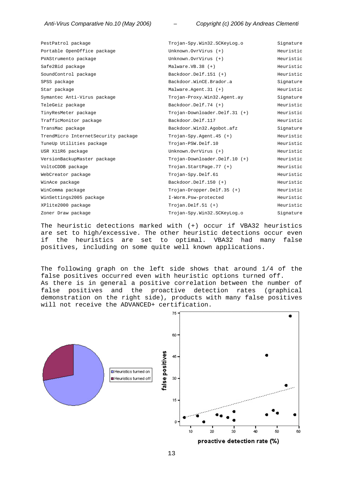| PestPatrol package                  | Trojan-Spy.Win32.SCKeyLog.o     | Signature |
|-------------------------------------|---------------------------------|-----------|
| Portable OpenOffice package         | Unknown.OvrVirus (+)            | Heuristic |
| PVAStrumento package                | Unknown.OvrVirus (+)            | Heuristic |
| Safe2Bid package                    | Malware. $VB.38 (+)$            | Heuristic |
| SoundControl package                | Backdoor.Delf.151 (+)           | Heuristic |
| SPSS package                        | Backdoor.WinCE.Brador.a         | Signature |
| Star package                        | Malware. Agent. $31 (+)$        | Heuristic |
| Symantec Anti-Virus package         | Trojan-Proxy.Win32.Agent.ay     | Signature |
| TeleGeiz package                    | Backdoor.Delf.74 (+)            | Heuristic |
| TinyResMeter package                | Trojan-Downloader.Delf.31 (+)   | Heuristic |
| TrafficMonitor package              | Backdoor.Delf.117               | Heuristic |
| TransMac package                    | Backdoor.Win32.Agobot.afz       | Signature |
| TrendMicro InternetSecurity package | Trojan-Spy.Agent.45 $(+)$       | Heuristic |
| TuneUp Utilities package            | Trojan-PSW.Delf.10              | Heuristic |
| USR X11R6 package                   | Unknown.OvrVirus (+)            | Heuristic |
| VersionBackupMaster package         | $Trojan-DownLoader.Delf.10 (+)$ | Heuristic |
| VoltoCDDB package                   | Trojan.StartPage.77 (+)         | Heuristic |
| WebCreator package                  | Trojan-Spy.Delf.61              | Heuristic |
| WinAce package                      | Backdoor.Delf.150 (+)           | Heuristic |
| WinComma package                    | Trojan-Dropper.Delf.35 (+)      | Heuristic |
| WinSettings2005 package             | I-Worm.Psw-protected            | Heuristic |
| XPlite2000 package                  | $Trojan.Delf.51 (+)$            | Heuristic |
| Zoner Draw package                  | Trojan-Spy.Win32.SCKeyLog.o     | Signature |

The heuristic detections marked with (+) occur if VBA32 heuristics are set to high/excessive. The other heuristic detections occur even if the heuristics are set to optimal. VBA32 had many false positives, including on some quite well known applications.

The following graph on the left side shows that around 1/4 of the false positives occurred even with heuristic options turned off. As there is in general a positive correlation between the number of false positives and the proactive detection rates (graphical demonstration on the right side), products with many false positives will not receive the ADVANCED+ certification.

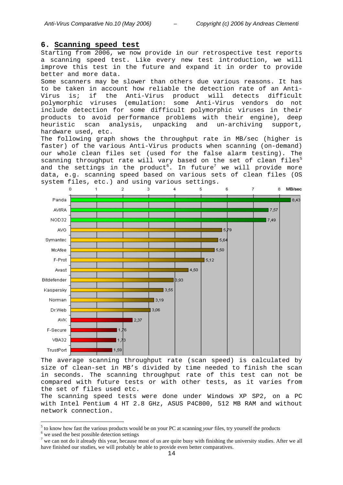### **6. Scanning speed test**

Starting from 2006, we now provide in our retrospective test reports a scanning speed test. Like every new test introduction, we will improve this test in the future and expand it in order to provide better and more data.

Some scanners may be slower than others due various reasons. It has to be taken in account how reliable the detection rate of an Anti-Virus is; if the Anti-Virus product will detects difficult polymorphic viruses (emulation: some Anti-Virus vendors do not include detection for some difficult polymorphic viruses in their products to avoid performance problems with their engine), deep heuristic scan analysis, unpacking and un-archiving support, hardware used, etc.

The following graph shows the throughput rate in MB/sec (higher is faster) of the various Anti-Virus products when scanning (on-demand) our whole clean files set (used for the false alarm testing). The scanning throughput rate will vary based on the set of clean files<sup>5</sup> and the settings in the product $^6.$  In future $^7$  we will provide more data, e.g. scanning speed based on various sets of clean files (OS system files, etc.) and using various settings.



The average scanning throughput rate (scan speed) is calculated by size of clean-set in MB's divided by time needed to finish the scan in seconds. The scanning throughput rate of this test can not be compared with future tests or with other tests, as it varies from the set of files used etc.

The scanning speed tests were done under Windows XP SP2, on a PC with Intel Pentium 4 HT 2.8 GHz, ASUS P4C800, 512 MB RAM and without network connection.

 $\overline{a}$ 

 $\frac{5}{6}$  to know how fast the various products would be on your PC at scanning *your* files, try yourself the products  $\frac{6}{6}$  we used the heat rescalled detection estings.

 $6$  we used the best possible detection settings

 $<sup>7</sup>$  we can not do it already this year, because most of us are quite busy with finishing the university studies. After we all</sup> have finished our studies, we will probably be able to provide even better comparatives.